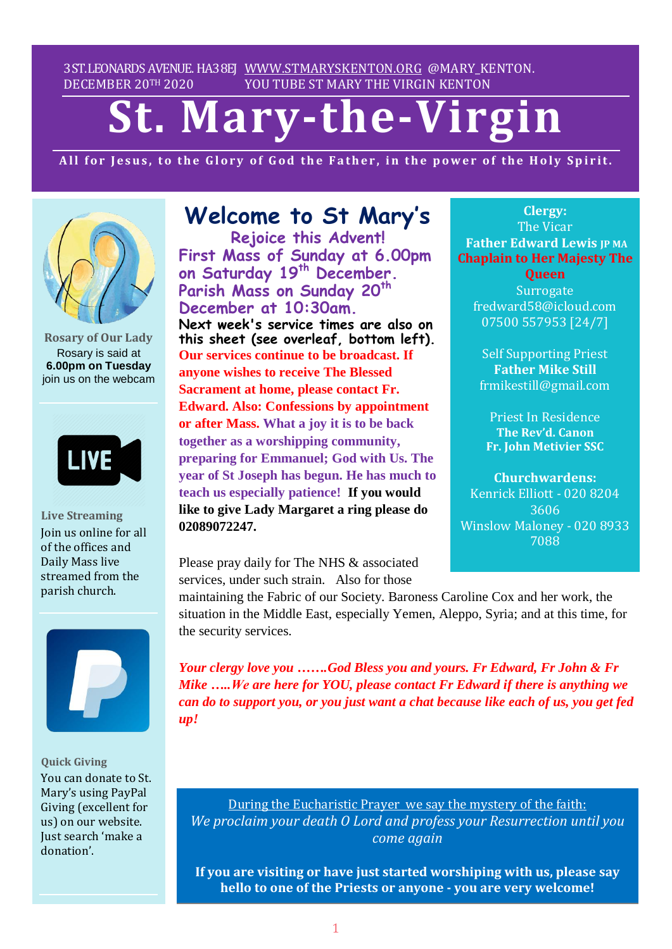3ST.LEONARDS AVENUE. HA38EJ [WWW.STMARYSKENTON.ORG](http://www.stmaryskenton.org/) @MARY\_KENTON. DECEMBER 20TH 2020 YOU TUBE ST MARY THE VIRGIN KENTON

# **St. Mary-the-Virgin**

All for Jesus, to the Glory of God the Father, in the power of the Holy Spirit.



**Rosary of Our Lady** Rosary is said at **6.00pm on Tuesday** join us on the webcam



**Live Streaming** Join us online for all of the offices and Daily Mass live streamed from the parish church.



**Quick Giving** You can donate to St. Mary's using PayPal Giving (excellent for us) on our website. Just search 'make a donation'.

# **Welcome to St Mary's**

**Rejoice this Advent! First Mass of Sunday at 6.00pm on Saturday 19 th December. Parish Mass on Sunday 20th December at 10:30am. Next week's service times are also on this sheet (see overleaf, bottom left). Our services continue to be broadcast. If anyone wishes to receive The Blessed Sacrament at home, please contact Fr. Edward. Also: Confessions by appointment or after Mass. What a joy it is to be back together as a worshipping community, preparing for Emmanuel; God with Us. The year of St Joseph has begun. He has much to teach us especially patience! If you would like to give Lady Margaret a ring please do 02089072247.** 

Please pray daily for The NHS & associated services, under such strain. Also for those

**Clergy:** The Vicar **Father Edward Lewis JP MA Chaplain to Her Majesty The**

**Queen Surrogate** fredward58@icloud.com 07500 557953 [24/7]

Self Supporting Priest **Father Mike Still** frmikestill@gmail.com

Priest In Residence **The Rev'd. Canon Fr. John Metivier SSC**

**Churchwardens:** Kenrick Elliott - 020 8204 3606 Winslow Maloney - 020 8933 7088

*Please let Fr. Edward know*

*maintaining the Fabric of our Society. Baroness Caroline Cox and her work, the* situation in the Middle East, especially Yemen, Aleppo, Syria; and at this time, for the security services.

*Your clergy love you …….God Bless you and yours. Fr Edward, Fr John & Fr Mike …..We are here for YOU, please contact Fr Edward if there is anything we can do to support you, or you just want a chat because like each of us, you get fed up!*

During the Eucharistic Prayer we say the mystery of the faith: *We proclaim your death O Lord and profess your Resurrection until you come again*

**If you are visiting or have just started worshiping with us, please say hello to one of the Priests or anyone - you are very welcome!**